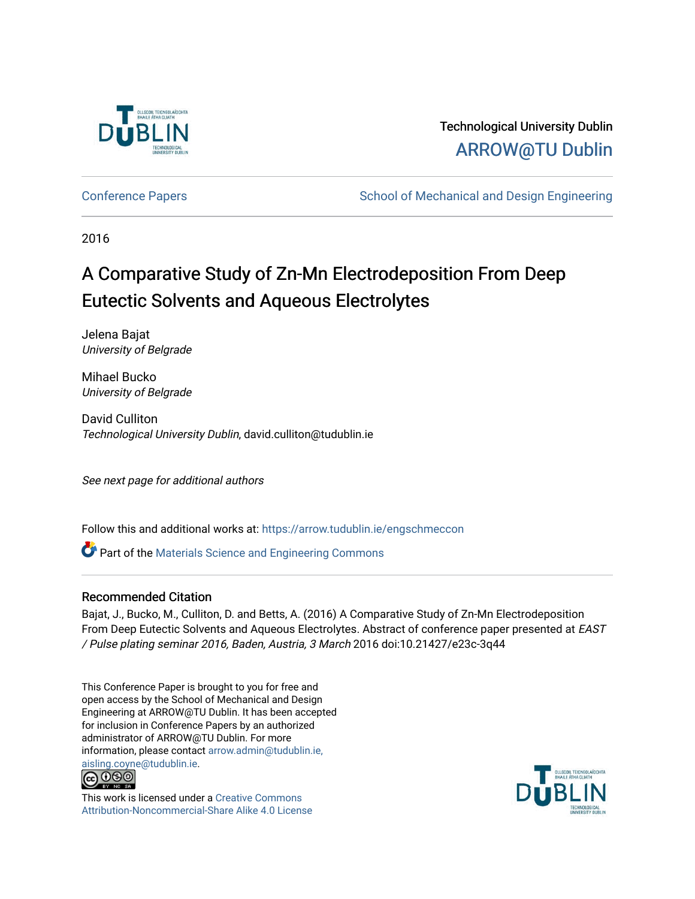

# Technological University Dublin [ARROW@TU Dublin](https://arrow.tudublin.ie/)

[Conference Papers](https://arrow.tudublin.ie/engschmeccon) **School of Mechanical and Design Engineering** School of Mechanical and Design Engineering

2016

# A Comparative Study of Zn-Mn Electrodeposition From Deep Eutectic Solvents and Aqueous Electrolytes

Jelena Bajat University of Belgrade

Mihael Bucko University of Belgrade

David Culliton Technological University Dublin, david.culliton@tudublin.ie

See next page for additional authors

Follow this and additional works at: [https://arrow.tudublin.ie/engschmeccon](https://arrow.tudublin.ie/engschmeccon?utm_source=arrow.tudublin.ie%2Fengschmeccon%2F63&utm_medium=PDF&utm_campaign=PDFCoverPages) 

Part of the [Materials Science and Engineering Commons](http://network.bepress.com/hgg/discipline/285?utm_source=arrow.tudublin.ie%2Fengschmeccon%2F63&utm_medium=PDF&utm_campaign=PDFCoverPages) 

#### Recommended Citation

Bajat, J., Bucko, M., Culliton, D. and Betts, A. (2016) A Comparative Study of Zn-Mn Electrodeposition From Deep Eutectic Solvents and Aqueous Electrolytes. Abstract of conference paper presented at EAST / Pulse plating seminar 2016, Baden, Austria, 3 March 2016 doi:10.21427/e23c-3q44

This Conference Paper is brought to you for free and open access by the School of Mechanical and Design Engineering at ARROW@TU Dublin. It has been accepted for inclusion in Conference Papers by an authorized administrator of ARROW@TU Dublin. For more information, please contact [arrow.admin@tudublin.ie,](mailto:arrow.admin@tudublin.ie,%20aisling.coyne@tudublin.ie)  [aisling.coyne@tudublin.ie.](mailto:arrow.admin@tudublin.ie,%20aisling.coyne@tudublin.ie)<br>© 000



This work is licensed under a [Creative Commons](http://creativecommons.org/licenses/by-nc-sa/4.0/) [Attribution-Noncommercial-Share Alike 4.0 License](http://creativecommons.org/licenses/by-nc-sa/4.0/)

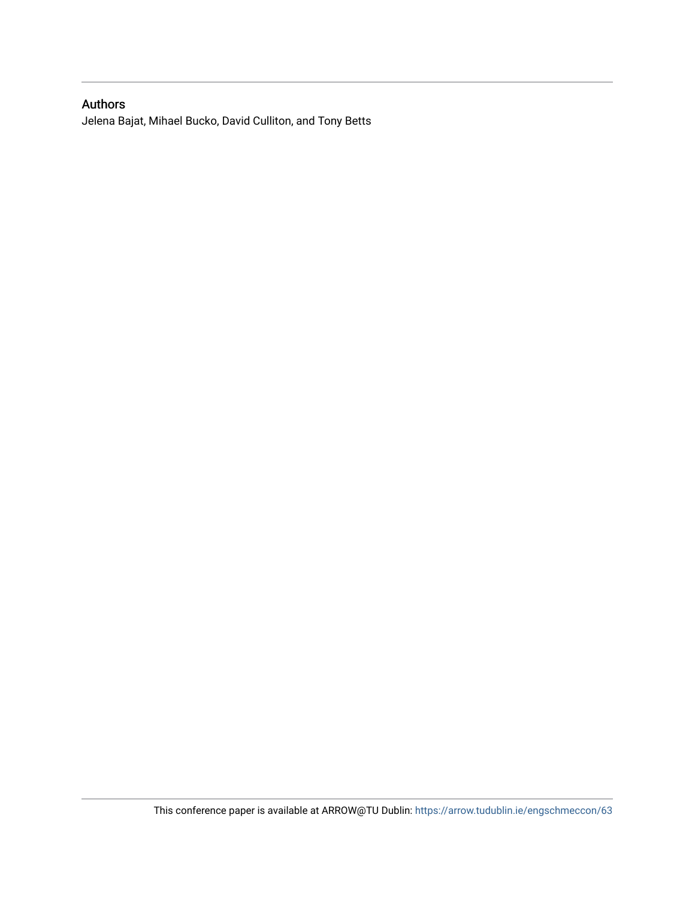## Authors

Jelena Bajat, Mihael Bucko, David Culliton, and Tony Betts